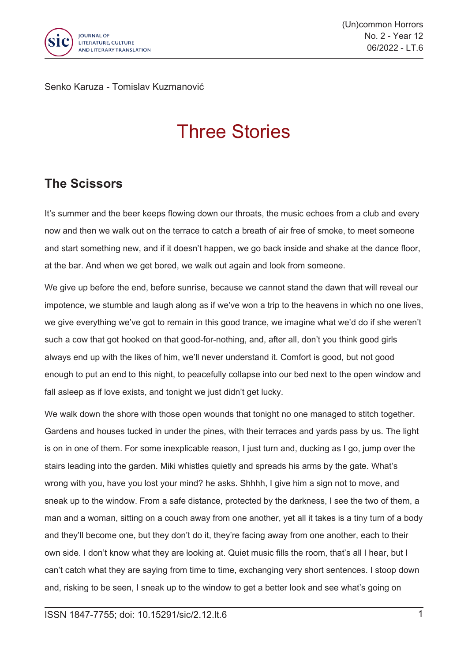

(Un)common Horrors No. 2 - Year 12 06/2022 - LT.6

Senko Karuza - Tomislav Kuzmanović

## Three Stories

## **The Scissors**

It's summer and the beer keeps flowing down our throats, the music echoes from <sup>a</sup> club and every now and then we walk out on the terrace to catch <sup>a</sup> breath of air free of smoke, to meet someone and start something new, and if it doesn't happen, we go back inside and shake at the dance floor, at the bar. And when we get bored, we walk out again and look from someone.

We give up before the end, before sunrise, because we cannot stand the dawn that will reveal our impotence, we stumble and laugh along as if we've won <sup>a</sup> trip to the heavens in which no one lives, we give everything we've got to remain in this good trance, we imagine what we'd do if she weren't such <sup>a</sup> cow that got hooked on that good-for-nothing, and, after all, don't you think good girls always end up with the likes of him, we'll never understand it. Comfort is good, but not good enough to put an end to this night, to peacefully collapse into our bed next to the open window and fall asleep as if love exists, and tonight we just didn't get lucky.

We walk down the shore with those open wounds that tonight no one managed to stitch together. Gardens and houses tucked in under the pines, with their terraces and yards pass by us. The light is on in one of them. For some inexplicable reason, I just turn and, ducking as I go, jump over the stairs leading into the garden. Miki whistles quietly and spreads his arms by the gate. What's wrong with you, have you lost your mind? he asks. Shhhh, I give him <sup>a</sup> sign not to move, and sneak up to the window. From <sup>a</sup> safe distance, protected by the darkness, I see the two of them, <sup>a</sup> man and <sup>a</sup> woman, sitting on <sup>a</sup> couch away from one another, yet all it takes is <sup>a</sup> tiny turn of <sup>a</sup> body and they'll become one, but they don't do it, they're facing away from one another, each to their own side. I don't know what they are looking at. Quiet music fills the room, that's all I hear, but I can't catch what they are saying from time to time, exchanging very short sentences. I stoop down and, risking to be seen, I sneak up to the window to get <sup>a</sup> better look and see what's going on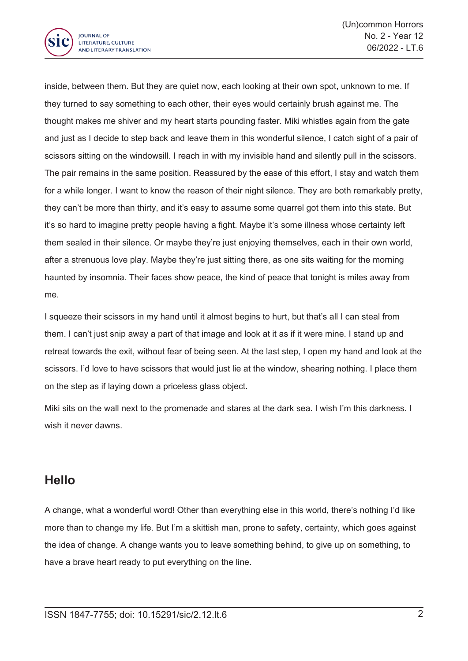

inside, between them. But they are quiet now, each looking at their own spot, unknown to me. If they turned to say something to each other, their eyes would certainly brush against me. The thought makes me shiver and my heart starts pounding faster. Miki whistles again from the gate and just as I decide to step back and leave them in this wonderful silence, I catch sight of <sup>a</sup> pair of scissors sitting on the windowsill. I reach in with my invisible hand and silently pull in the scissors. The pair remains in the same position. Reassured by the ease of this effort, I stay and watch them for <sup>a</sup> while longer. I want to know the reason of their night silence. They are both remarkably pretty, they can't be more than thirty, and it's easy to assume some quarrel got them into this state. But it's so hard to imagine pretty people having <sup>a</sup> fight. Maybe it's some illness whose certainty left them sealed in their silence. Or maybe they're just enjoying themselves, each in their own world, after <sup>a</sup> strenuous love play. Maybe they're just sitting there, as one sits waiting for the morning haunted by insomnia. Their faces show peace, the kind of peace that tonight is miles away from me.

I squeeze their scissors in my hand until it almost begins to hurt, but that's all I can steal from them. I can't just snip away <sup>a</sup> part of that image and look at it as if it were mine. I stand up and retreat towards the exit, without fear of being seen. At the last step, I open my hand and look at the scissors. I'd love to have scissors that would just lie at the window, shearing nothing. I place them on the step as if laying down <sup>a</sup> priceless glass object.

Miki sits on the wall next to the promenade and stares at the dark sea. I wish I'm this darkness. I wish it never dawns.

## **Hello**

A change, what <sup>a</sup> wonderful word! Other than everything else in this world, there's nothing I'd like more than to change my life. But I'm <sup>a</sup> skittish man, prone to safety, certainty, which goes against the idea of change. A change wants you to leave something behind, to give up on something, to have <sup>a</sup> brave heart ready to put everything on the line.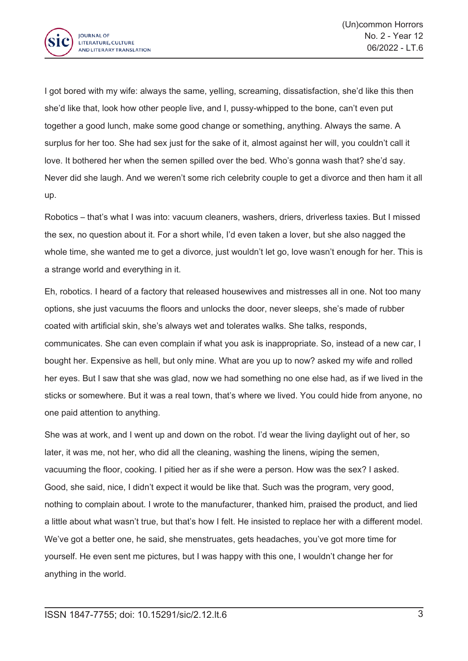

I got bored with my wife: always the same, yelling, screaming, dissatisfaction, she'd like this then she'd like that, look how other people live, and I, pussy-whipped to the bone, can't even put together <sup>a</sup> good lunch, make some good change or something, anything. Always the same. A surplus for her too. She had sex just for the sake of it, almost against her will, you couldn't call it love. It bothered her when the semen spilled over the bed. Who's gonna wash that? she'd say. Never did she laugh. And we weren't some rich celebrity couple to get <sup>a</sup> divorce and then ham it all up.

Robotics – that's what I was into: vacuum cleaners, washers, driers, driverless taxies. But I missed the sex, no question about it. For <sup>a</sup> short while, I'd even taken <sup>a</sup> lover, but she also nagged the whole time, she wanted me to get <sup>a</sup> divorce, just wouldn't let go, love wasn't enough for her. This is <sup>a</sup> strange world and everything in it.

Eh, robotics. I heard of <sup>a</sup> factory that released housewives and mistresses all in one. Not too many options, she just vacuums the floors and unlocks the door, never sleeps, she's made of rubber coated with artificial skin, she's always wet and tolerates walks. She talks, responds, communicates. She can even complain if what you ask is inappropriate. So, instead of <sup>a</sup> new car, I bought her. Expensive as hell, but only mine. What are you up to now? asked my wife and rolled her eyes. But I saw that she was glad, now we had something no one else had, as if we lived in the sticks or somewhere. But it was <sup>a</sup> real town, that's where we lived. You could hide from anyone, no one paid attention to anything.

She was at work, and I went up and down on the robot. I'd wear the living daylight out of her, so later, it was me, not her, who did all the cleaning, washing the linens, wiping the semen, vacuuming the floor, cooking. I pitied her as if she were <sup>a</sup> person. How was the sex? I asked. Good, she said, nice, I didn't expect it would be like that. Such was the program, very good, nothing to complain about. I wrote to the manufacturer, thanked him, praised the product, and lied <sup>a</sup> little about what wasn't true, but that's how I felt. He insisted to replace her with <sup>a</sup> different model. We've got <sup>a</sup> better one, he said, she menstruates, gets headaches, you've got more time for yourself. He even sent me pictures, but I was happy with this one, I wouldn't change her for anything in the world.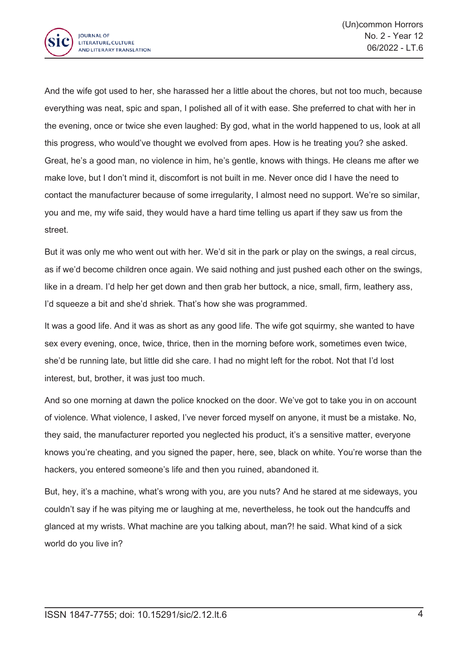

And the wife got used to her, she harassed her <sup>a</sup> little about the chores, but not too much, because everything was neat, spic and span, I polished all of it with ease. She preferred to chat with her in the evening, once or twice she even laughed: By god, what in the world happened to us, look at all this progress, who would've thought we evolved from apes. How is he treating you? she asked. Great, he's <sup>a</sup> good man, no violence in him, he's gentle, knows with things. He cleans me after we make love, but I don't mind it, discomfort is not built in me. Never once did I have the need to contact the manufacturer because of some irregularity, I almost need no support. We're so similar, you and me, my wife said, they would have <sup>a</sup> hard time telling us apart if they saw us from the street.

But it was only me who went out with her. We'd sit in the park or play on the swings, <sup>a</sup> real circus, as if we'd become children once again. We said nothing and just pushed each other on the swings, like in <sup>a</sup> dream. I'd help her get down and then grab her buttock, <sup>a</sup> nice, small, firm, leathery ass, I'd squeeze a bit and she'd shriek. That's how she was programmed.

It was <sup>a</sup> good life. And it was as short as any good life. The wife got squirmy, she wanted to have sex every evening, once, twice, thrice, then in the morning before work, sometimes even twice, she'd be running late, but little did she care. I had no might left for the robot. Not that I'd lost interest, but, brother, it was just too much.

And so one morning at dawn the police knocked on the door. We've got to take you in on account of violence. What violence, I asked, I've never forced myself on anyone, it must be <sup>a</sup> mistake. No, they said, the manufacturer reported you neglected his product, it's <sup>a</sup> sensitive matter, everyone knows you're cheating, and you signed the paper, here, see, black on white. You're worse than the hackers, you entered someone's life and then you ruined, abandoned it.

But, hey, it's <sup>a</sup> machine, what's wrong with you, are you nuts? And he stared at me sideways, you couldn't say if he was pitying me or laughing at me, nevertheless, he took out the handcuffs and glanced at my wrists. What machine are you talking about, man?! he said. What kind of <sup>a</sup> sick world do you live in?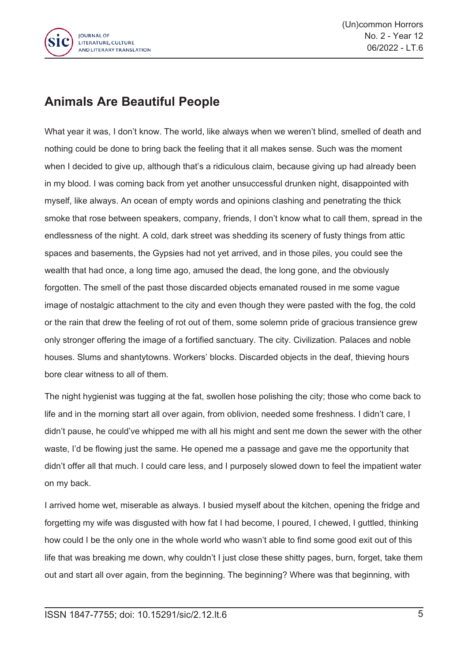

## **Animals Are Beautiful People**

What year it was, I don't know. The world, like always when we weren't blind, smelled of death and nothing could be done to bring back the feeling that it all makes sense. Such was the moment when I decided to give up, although that's <sup>a</sup> ridiculous claim, because giving up had already been in my blood. I was coming back from yet another unsuccessful drunken night, disappointed with myself, like always. An ocean of empty words and opinions clashing and penetrating the thick smoke that rose between speakers, company, friends, I don't know what to call them, spread in the endlessness of the night. A cold, dark street was shedding its scenery of fusty things from attic spaces and basements, the Gypsies had not yet arrived, and in those piles, you could see the wealth that had once, <sup>a</sup> long time ago, amused the dead, the long gone, and the obviously forgotten. The smell of the past those discarded objects emanated roused in me some vague image of nostalgic attachment to the city and even though they were pasted with the fog, the cold or the rain that drew the feeling of rot out of them, some solemn pride of gracious transience grew only stronger offering the image of <sup>a</sup> fortified sanctuary. The city. Civilization. Palaces and noble houses. Slums and shantytowns. Workers' blocks. Discarded objects in the deaf, thieving hours bore clear witness to all of them.

The night hygienist was tugging at the fat, swollen hose polishing the city; those who come back to life and in the morning start all over again, from oblivion, needed some freshness. I didn't care, I didn't pause, he could've whipped me with all his might and sent me down the sewer with the other waste, I'd be flowing just the same. He opened me <sup>a</sup> passage and gave me the opportunity that didn't offer all that much. I could care less, and I purposely slowed down to feel the impatient water on my back.

I arrived home wet, miserable as always. I busied myself about the kitchen, opening the fridge and forgetting my wife was disgusted with how fat I had become, I poured, I chewed, I guttled, thinking how could I be the only one in the whole world who wasn't able to find some good exit out of this life that was breaking me down, why couldn't I just close these shitty pages, burn, forget, take them out and start all over again, from the beginning. The beginning? Where was that beginning, with